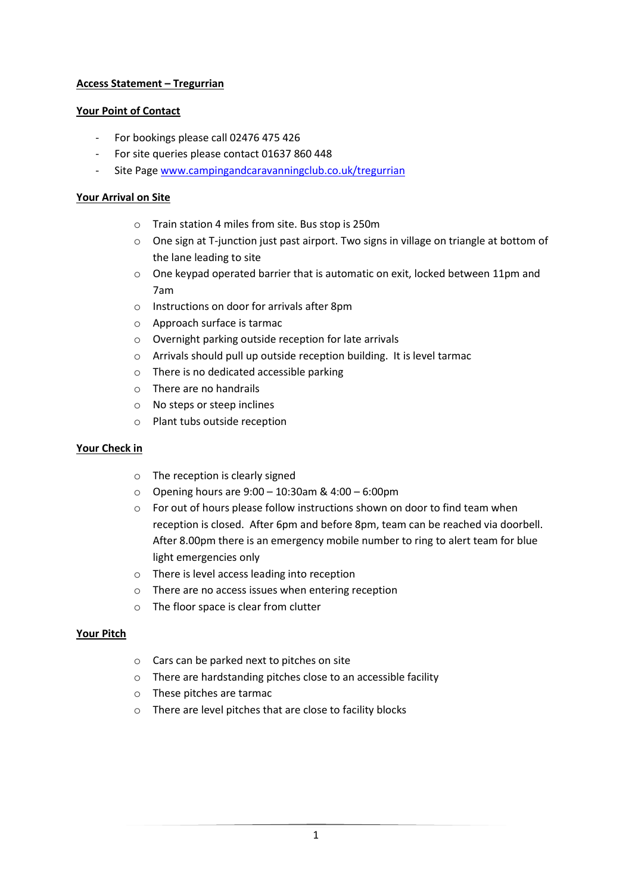# **Access Statement – Tregurrian**

## **Your Point of Contact**

- For bookings please call 02476 475 426
- For site queries please contact 01637 860 448
- Site Page [www.campingandcaravanningclub.co.uk/tregurrian](http://www.campingandcaravanningclub.co.uk/tregurrian)

## **Your Arrival on Site**

- o Train station 4 miles from site. Bus stop is 250m
- o One sign at T-junction just past airport. Two signs in village on triangle at bottom of the lane leading to site
- $\circ$  One keypad operated barrier that is automatic on exit, locked between 11pm and 7am
- o Instructions on door for arrivals after 8pm
- o Approach surface is tarmac
- o Overnight parking outside reception for late arrivals
- o Arrivals should pull up outside reception building. It is level tarmac
- o There is no dedicated accessible parking
- o There are no handrails
- o No steps or steep inclines
- o Plant tubs outside reception

### **Your Check in**

- o The reception is clearly signed
- o Opening hours are 9:00 10:30am & 4:00 6:00pm
- o For out of hours please follow instructions shown on door to find team when reception is closed. After 6pm and before 8pm, team can be reached via doorbell. After 8.00pm there is an emergency mobile number to ring to alert team for blue light emergencies only
- o There is level access leading into reception
- o There are no access issues when entering reception
- o The floor space is clear from clutter

### **Your Pitch**

- o Cars can be parked next to pitches on site
- o There are hardstanding pitches close to an accessible facility
- o These pitches are tarmac
- o There are level pitches that are close to facility blocks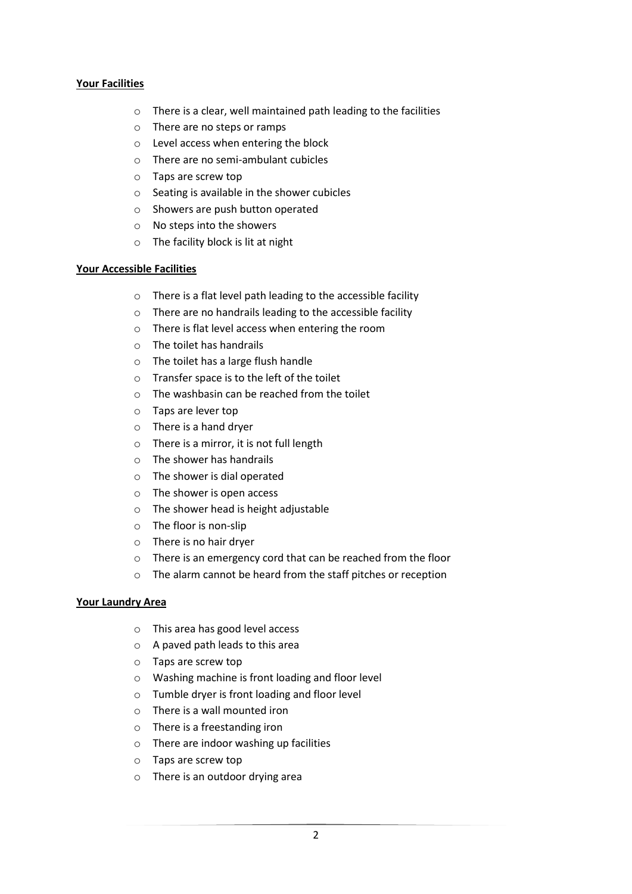## **Your Facilities**

- o There is a clear, well maintained path leading to the facilities
- o There are no steps or ramps
- o Level access when entering the block
- o There are no semi-ambulant cubicles
- o Taps are screw top
- o Seating is available in the shower cubicles
- o Showers are push button operated
- o No steps into the showers
- o The facility block is lit at night

### **Your Accessible Facilities**

- o There is a flat level path leading to the accessible facility
- o There are no handrails leading to the accessible facility
- o There is flat level access when entering the room
- o The toilet has handrails
- o The toilet has a large flush handle
- o Transfer space is to the left of the toilet
- o The washbasin can be reached from the toilet
- o Taps are lever top
- o There is a hand dryer
- o There is a mirror, it is not full length
- o The shower has handrails
- o The shower is dial operated
- o The shower is open access
- o The shower head is height adjustable
- o The floor is non-slip
- o There is no hair dryer
- o There is an emergency cord that can be reached from the floor
- o The alarm cannot be heard from the staff pitches or reception

### **Your Laundry Area**

- o This area has good level access
- o A paved path leads to this area
- o Taps are screw top
- o Washing machine is front loading and floor level
- o Tumble dryer is front loading and floor level
- o There is a wall mounted iron
- o There is a freestanding iron
- o There are indoor washing up facilities
- o Taps are screw top
- o There is an outdoor drying area